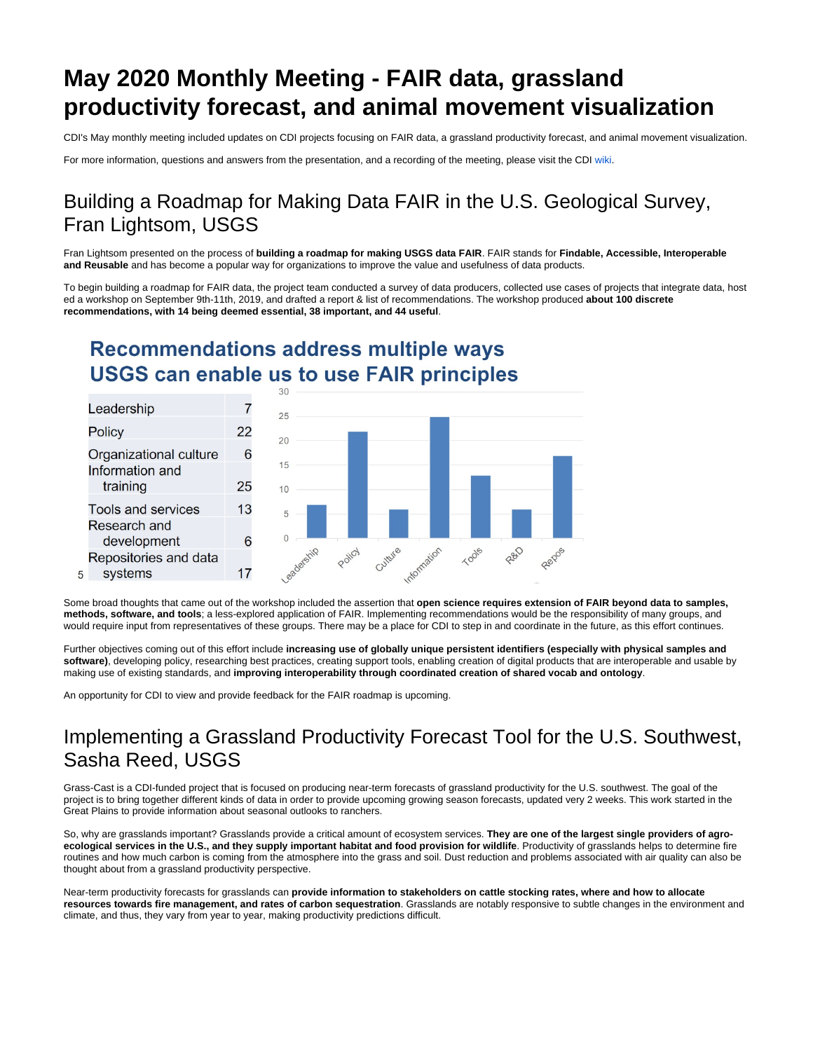# **May 2020 Monthly Meeting - FAIR data, grassland productivity forecast, and animal movement visualization**

CDI's May monthly meeting included updates on CDI projects focusing on FAIR data, a grassland productivity forecast, and animal movement visualization.

For more information, questions and answers from the presentation, and a recording of the meeting, please visit the CDI [wiki.](https://my.usgs.gov/confluence/display/cdi/Home)

### Building a Roadmap for Making Data FAIR in the U.S. Geological Survey, Fran Lightsom, USGS

Fran Lightsom presented on the process of **building a roadmap for making USGS data FAIR**. FAIR stands for **Findable, Accessible, Interoperable and Reusable** and has become a popular way for organizations to improve the value and usefulness of data products.

To begin building a roadmap for FAIR data, the project team conducted a survey of data producers, collected use cases of projects that integrate data, host ed a workshop on September 9th-11th, 2019, and drafted a report & list of recommendations. The workshop produced **about 100 discrete recommendations, with 14 being deemed essential, 38 important, and 44 useful**.

## **Recommendations address multiple ways USGS can enable us to use FAIR principles**



Some broad thoughts that came out of the workshop included the assertion that **open science requires extension of FAIR beyond data to samples, methods, software, and tools**; a less-explored application of FAIR. Implementing recommendations would be the responsibility of many groups, and would require input from representatives of these groups. There may be a place for CDI to step in and coordinate in the future, as this effort continues.

Further objectives coming out of this effort include **increasing use of globally unique persistent identifiers (especially with physical samples and software)**, developing policy, researching best practices, creating support tools, enabling creation of digital products that are interoperable and usable by making use of existing standards, and **improving interoperability through coordinated creation of shared vocab and ontology**.

An opportunity for CDI to view and provide feedback for the FAIR roadmap is upcoming.

#### Implementing a Grassland Productivity Forecast Tool for the U.S. Southwest, Sasha Reed, USGS

Grass-Cast is a CDI-funded project that is focused on producing near-term forecasts of grassland productivity for the U.S. southwest. The goal of the project is to bring together different kinds of data in order to provide upcoming growing season forecasts, updated very 2 weeks. This work started in the Great Plains to provide information about seasonal outlooks to ranchers.

So, why are grasslands important? Grasslands provide a critical amount of ecosystem services. **They are one of the largest single providers of agroecological services in the U.S., and they supply important habitat and food provision for wildlife**. Productivity of grasslands helps to determine fire routines and how much carbon is coming from the atmosphere into the grass and soil. Dust reduction and problems associated with air quality can also be thought about from a grassland productivity perspective.

Near-term productivity forecasts for grasslands can **provide information to stakeholders on cattle stocking rates, where and how to allocate resources towards fire management, and rates of carbon sequestration**. Grasslands are notably responsive to subtle changes in the environment and climate, and thus, they vary from year to year, making productivity predictions difficult.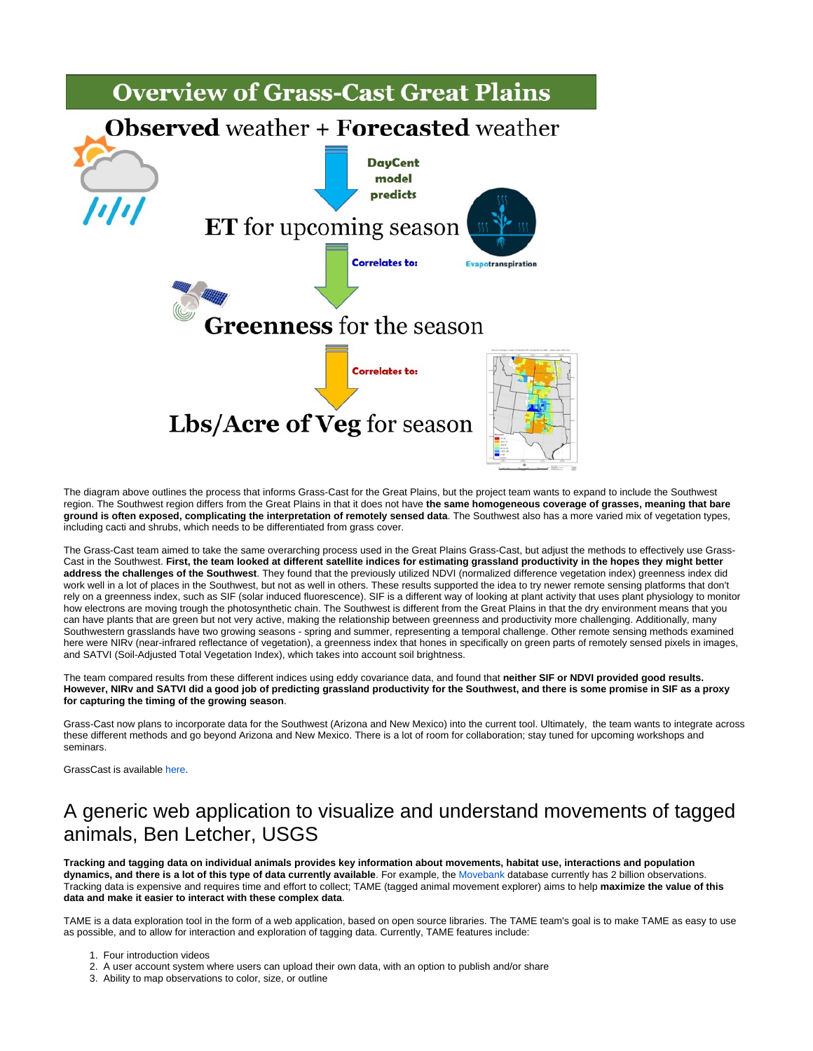

The diagram above outlines the process that informs Grass-Cast for the Great Plains, but the project team wants to expand to include the Southwest region. The Southwest region differs from the Great Plains in that it does not have **the same homogeneous coverage of grasses, meaning that bare ground is often exposed, complicating the interpretation of remotely sensed data**. The Southwest also has a more varied mix of vegetation types, including cacti and shrubs, which needs to be differentiated from grass cover.

The Grass-Cast team aimed to take the same overarching process used in the Great Plains Grass-Cast, but adjust the methods to effectively use Grass-Cast in the Southwest. **First, the team looked at different satellite indices for estimating grassland productivity in the hopes they might better address the challenges of the Southwest**. They found that the previously utilized NDVI (normalized difference vegetation index) greenness index did work well in a lot of places in the Southwest, but not as well in others. These results supported the idea to try newer remote sensing platforms that don't rely on a greenness index, such as SIF (solar induced fluorescence). SIF is a different way of looking at plant activity that uses plant physiology to monitor how electrons are moving trough the photosynthetic chain. The Southwest is different from the Great Plains in that the dry environment means that you can have plants that are green but not very active, making the relationship between greenness and productivity more challenging. Additionally, many Southwestern grasslands have two growing seasons - spring and summer, representing a temporal challenge. Other remote sensing methods examined here were NIRv (near-infrared reflectance of vegetation), a greenness index that hones in specifically on green parts of remotely sensed pixels in images, and SATVI (Soil-Adjusted Total Vegetation Index), which takes into account soil brightness.

The team compared results from these different indices using eddy covariance data, and found that **neither SIF or NDVI provided good results. However, NIRv and SATVI did a good job of predicting grassland productivity for the Southwest, and there is some promise in SIF as a proxy for capturing the timing of the growing season**.

Grass-Cast now plans to incorporate data for the Southwest (Arizona and New Mexico) into the current tool. Ultimately, the team wants to integrate across these different methods and go beyond Arizona and New Mexico. There is a lot of room for collaboration; stay tuned for upcoming workshops and seminars.

GrassCast is available [here.](https://grasscast.unl.edu/)

#### A generic web application to visualize and understand movements of tagged animals, Ben Letcher, USGS

**Tracking and tagging data on individual animals provides key information about movements, habitat use, interactions and population dynamics, and there is a lot of this type of data currently available**. For example, the [Movebank](https://www.movebank.org/cms/movebank-main) database currently has 2 billion observations. Tracking data is expensive and requires time and effort to collect; TAME (tagged animal movement explorer) aims to help **maximize the value of this data and make it easier to interact with these complex data**.

TAME is a data exploration tool in the form of a web application, based on open source libraries. The TAME team's goal is to make TAME as easy to use as possible, and to allow for interaction and exploration of tagging data. Currently, TAME features include:

- 1. Four introduction videos
- 2. A user account system where users can upload their own data, with an option to publish and/or share
- 3. Ability to map observations to color, size, or outline